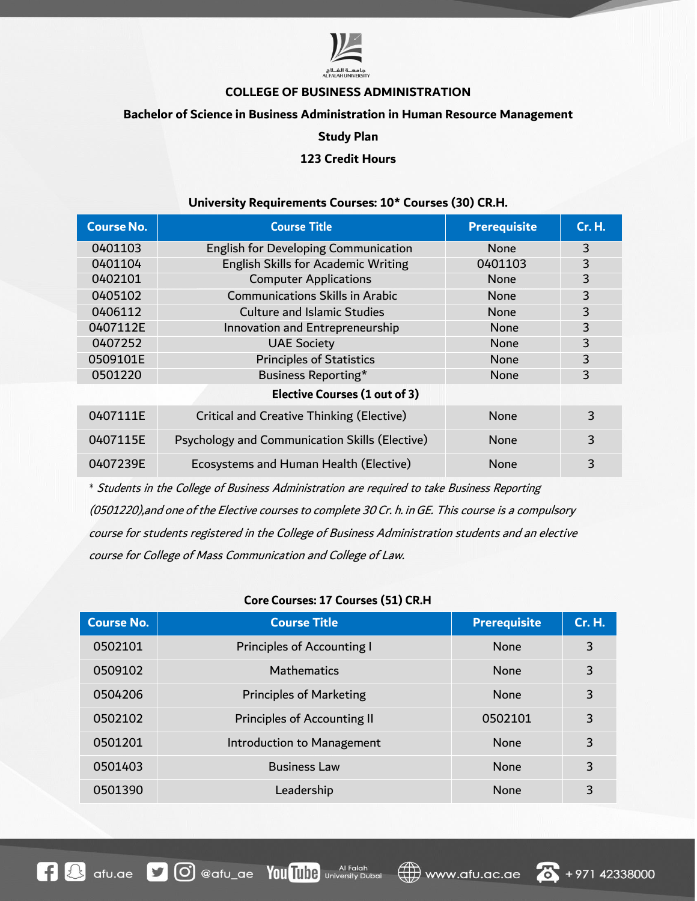

### **COLLEGE OF BUSINESS ADMINISTRATION**

### **Bachelor of Science in Business Administration in Human Resource Management**

#### **Study Plan**

## **123 Credit Hours**

### **University Requirements Courses: 10\* Courses (30) CR.H.**

| <b>Course No.</b> | <b>Course Title</b>                            | <b>Prerequisite</b> | <b>Cr. H.</b> |
|-------------------|------------------------------------------------|---------------------|---------------|
| 0401103           | English for Developing Communication           | <b>None</b>         | 3             |
| 0401104           | English Skills for Academic Writing            | 0401103             | 3             |
| 0402101           | <b>Computer Applications</b>                   | <b>None</b>         | 3             |
| 0405102           | <b>Communications Skills in Arabic</b>         | <b>None</b>         | 3             |
| 0406112           | Culture and Islamic Studies                    | <b>None</b>         | 3             |
| 0407112E          | Innovation and Entrepreneurship                | None                | 3             |
| 0407252           | <b>UAE Society</b>                             | None                | 3             |
| 0509101E          | <b>Principles of Statistics</b>                | <b>None</b>         | 3             |
| 0501220           | Business Reporting*                            | <b>None</b>         | 3             |
|                   | <b>Elective Courses (1 out of 3)</b>           |                     |               |
| 0407111E          | Critical and Creative Thinking (Elective)      | <b>None</b>         | 3             |
| 0407115E          | Psychology and Communication Skills (Elective) | <b>None</b>         | 3             |
| 0407239E          | Ecosystems and Human Health (Elective)         | <b>None</b>         | 3             |

*\** Students in the College of Business Administration are required to take Business Reporting (0501220),and one of the Elective courses to complete 30 Cr. h. inGE. This course is a compulsory course for students registered in the College of Business Administration students and an elective course for College of Mass Communication and College of Law.

### **Core Courses: 17 Courses (51) CR.H**

| <b>Course No.</b> | <b>Course Title</b>               | <b>Prerequisite</b> | Cr. H. |
|-------------------|-----------------------------------|---------------------|--------|
| 0502101           | <b>Principles of Accounting I</b> | <b>None</b>         | 3      |
| 0509102           | <b>Mathematics</b>                | <b>None</b>         | 3      |
| 0504206           | <b>Principles of Marketing</b>    | <b>None</b>         | 3      |
| 0502102           | Principles of Accounting II       | 0502101             | 3      |
| 0501201           | Introduction to Management        | <b>None</b>         | 3      |
| 0501403           | <b>Business Law</b>               | <b>None</b>         | 3      |
| 0501390           | Leadership                        | <b>None</b>         | 3      |



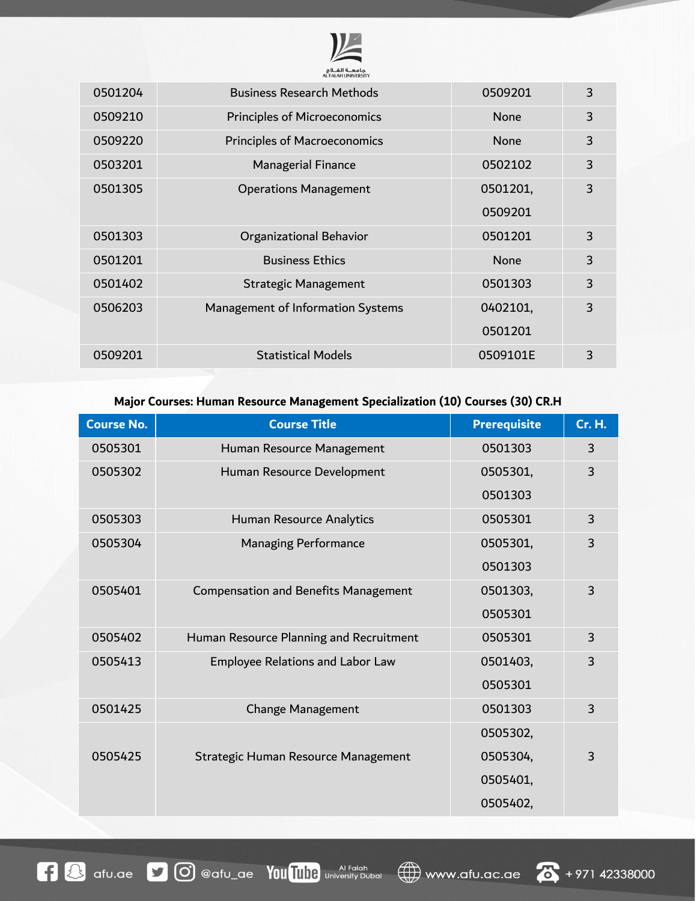

| 0501204 | <b>Business Research Methods</b>    | 0509201     | 3 |
|---------|-------------------------------------|-------------|---|
| 0509210 | <b>Principles of Microeconomics</b> | <b>None</b> | 3 |
| 0509220 | <b>Principles of Macroeconomics</b> | <b>None</b> | 3 |
| 0503201 | <b>Managerial Finance</b>           | 0502102     | 3 |
| 0501305 | <b>Operations Management</b>        | 0501201,    | 3 |
|         |                                     | 0509201     |   |
| 0501303 | Organizational Behavior             | 0501201     | 3 |
| 0501201 | <b>Business Ethics</b>              | <b>None</b> | 3 |
| 0501402 | <b>Strategic Management</b>         | 0501303     | 3 |
| 0506203 | Management of Information Systems   | 0402101,    | 3 |
|         |                                     | 0501201     |   |
| 0509201 | <b>Statistical Models</b>           | 0509101E    | 3 |
|         |                                     |             |   |

# **Major Courses: Human Resource Management Specialization (10) Courses (30) CR.H**

| <b>Course No.</b> | <b>Course Title</b>                         | <b>Prerequisite</b> | <b>Cr. H.</b>  |
|-------------------|---------------------------------------------|---------------------|----------------|
| 0505301           | Human Resource Management                   | 0501303             | 3              |
| 0505302           | Human Resource Development                  | 0505301,            | 3              |
|                   |                                             | 0501303             |                |
| 0505303           | Human Resource Analytics                    | 0505301             | 3              |
| 0505304           | <b>Managing Performance</b>                 | 0505301,            | 3              |
|                   |                                             | 0501303             |                |
| 0505401           | <b>Compensation and Benefits Management</b> | 0501303,            | 3              |
|                   |                                             | 0505301             |                |
| 0505402           | Human Resource Planning and Recruitment     | 0505301             | 3              |
| 0505413           | Employee Relations and Labor Law            | 0501403,            | 3              |
|                   |                                             | 0505301             |                |
| 0501425           | <b>Change Management</b>                    | 0501303             | 3              |
|                   |                                             | 0505302,            |                |
| 0505425           | Strategic Human Resource Management         | 0505304,            | $\overline{3}$ |
|                   |                                             | 0505401,            |                |
|                   |                                             | 0505402,            |                |